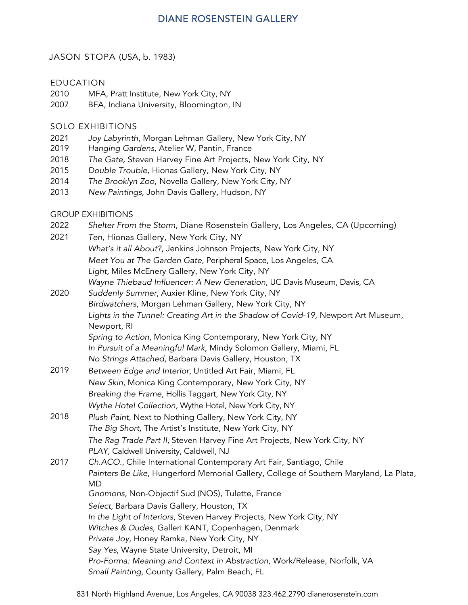## **DIANE ROSENSTEIN GALLERY**

#### JASON STOPA (USA, b. 1983)

#### EDUCATION

- 2010 MFA, Pratt Institute, New York City, NY
- 2007 BFA, Indiana University, Bloomington, IN

#### SOLO EXHIBITIONS

- 2021 *Joy Labyrinth*, Morgan Lehman Gallery, New York City, NY
- 2019 *Hanging Gardens*, Atelier W, Pantin, France
- 2018 *The Gate,* Steven Harvey Fine Art Projects, New York City, NY
- 2015 *Double Trouble,* Hionas Gallery, New York City, NY
- 2014 *The Brooklyn Zoo,* Novella Gallery, New York City, NY
- 2013 *New Paintings,* John Davis Gallery, Hudson, NY

#### GROUP EXHIBITIONS

- 2022 *Shelter From the Storm,* Diane Rosenstein Gallery, Los Angeles, CA (Upcoming)
- 2021 *Ten*, Hionas Gallery, New York City, NY
	- *What's it all About?*, Jenkins Johnson Projects, New York City, NY
		- *Meet You at The Garden Gate*, Peripheral Space, Los Angeles, CA
		- *Light,* Miles McEnery Gallery, New York City, NY
		- *Wayne Thiebaud Influencer: A New Generation*, UC Davis Museum, Davis, CA
- 2020 *Suddenly Summer*, Auxier Kline, New York City, NY *Birdwatchers*, Morgan Lehman Gallery, New York City, NY Lights in the Tunnel: Creating Art in the Shadow of Covid-19, Newport Art Museum, Newport, RI *Spring to Action*, Monica King Contemporary, New York City, NY *In Pursuit of a Meaningful Mark*, Mindy Solomon Gallery, Miami, FL
	- *No Strings Attached*, Barbara Davis Gallery, Houston, TX
- 2019 *Between Edge and Interior*, Untitled Art Fair, Miami, FL *New Skin*, Monica King Contemporary, New York City, NY *Breaking the Frame*, Hollis Taggart, New York City, NY *Wythe Hotel Collection*, Wythe Hotel, New York City, NY
- 2018 *Plush Paint*, Next to Nothing Gallery, New York City, NY *The Big Short,* The Artist's Institute, New York City, NY *The Rag Trade Part II*, Steven Harvey Fine Art Projects, New York City, NY *PLAY,* Caldwell University, Caldwell, NJ

### 2017 *Ch.ACO.*, Chile International Contemporary Art Fair, Santiago, Chile *Painters Be Like*, Hungerford Memorial Gallery, College of Southern Maryland, La Plata, MD *Gnomons*, Non-Objectif Sud (NOS), Tulette, France *Select,* Barbara Davis Gallery, Houston, TX *In the Light of Interiors*, Steven Harvey Projects, New York City, NY *Witches & Dudes,* Galleri KANT, Copenhagen, Denmark *Private Joy*, Honey Ramka, New York City, NY *Say Yes*, Wayne State University, Detroit, MI *Pro-Forma: Meaning and Context in Abstraction,* Work/Release, Norfolk, VA

*Small Painting,* County Gallery, Palm Beach, FL